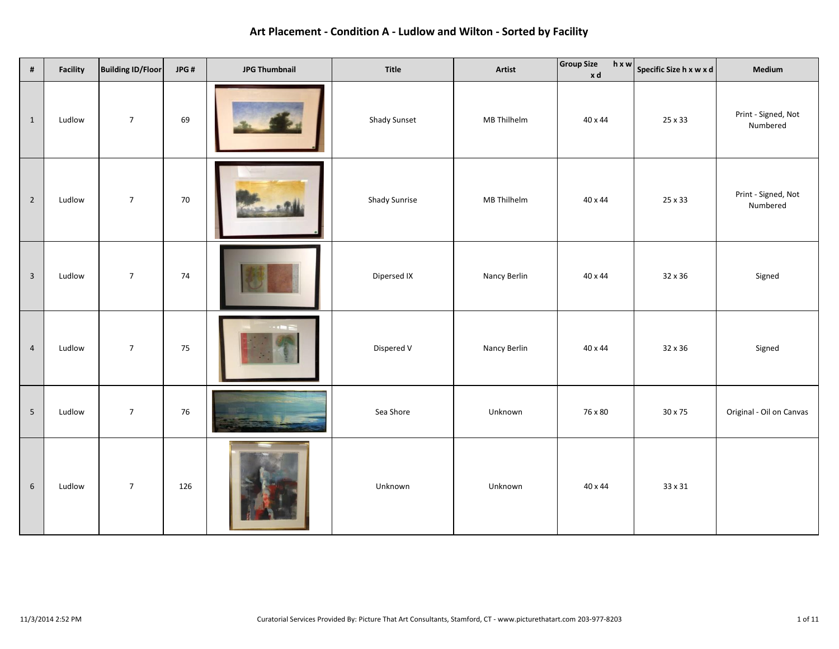| $\pmb{\sharp}$          | <b>Facility</b> | <b>Building ID/Floor</b> | JPG# | <b>JPG Thumbnail</b> | Title               | Artist       | <b>Group Size</b><br>xd | $\boxed{h \times w}$ Specific Size h x w x d | Medium                          |
|-------------------------|-----------------|--------------------------|------|----------------------|---------------------|--------------|-------------------------|----------------------------------------------|---------------------------------|
| $\mathbf{1}$            | Ludlow          | $\sqrt{7}$               | 69   |                      | <b>Shady Sunset</b> | MB Thilhelm  | 40 x 44                 | 25 x 33                                      | Print - Signed, Not<br>Numbered |
| $\overline{2}$          | Ludlow          | $\overline{7}$           | 70   |                      | Shady Sunrise       | MB Thilhelm  | 40 x 44                 | 25 x 33                                      | Print - Signed, Not<br>Numbered |
| $\overline{\mathbf{3}}$ | Ludlow          | $\overline{7}$           | 74   |                      | Dipersed IX         | Nancy Berlin | 40 x 44                 | 32 x 36                                      | Signed                          |
| $\overline{4}$          | Ludlow          | $\sqrt{7}$               | 75   | $-1$ in $-$          | Dispered V          | Nancy Berlin | 40 x 44                 | 32 x 36                                      | Signed                          |
| $5\phantom{.0}$         | Ludlow          | $\boldsymbol{7}$         | 76   |                      | Sea Shore           | Unknown      | 76 x 80                 | 30 x 75                                      | Original - Oil on Canvas        |
| $\,$ 6 $\,$             | Ludlow          | $\sqrt{7}$               | 126  |                      | Unknown             | Unknown      | 40 x 44                 | 33 x 31                                      |                                 |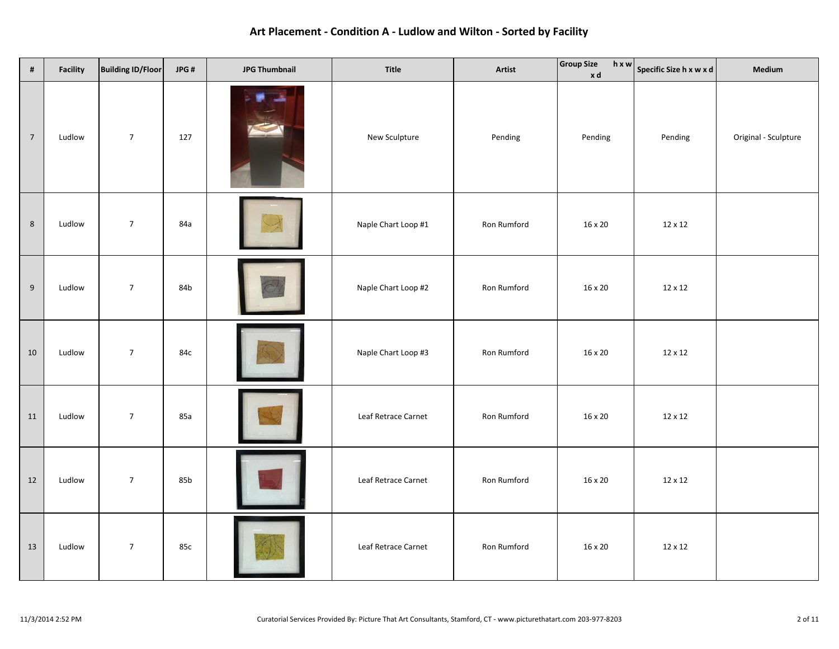| $\pmb{\sharp}$   | <b>Facility</b> | <b>Building ID/Floor</b> | JPG# | <b>JPG Thumbnail</b> | Title               | Artist      | <b>Group Size</b><br>xd | $\left  \begin{array}{c} h \times w \\ \end{array} \right $ Specific Size h x w x d | Medium               |
|------------------|-----------------|--------------------------|------|----------------------|---------------------|-------------|-------------------------|-------------------------------------------------------------------------------------|----------------------|
| $\overline{7}$   | Ludlow          | $\overline{7}$           | 127  |                      | New Sculpture       | Pending     | Pending                 | Pending                                                                             | Original - Sculpture |
| $\,$ 8 $\,$      | Ludlow          | $\overline{7}$           | 84a  |                      | Naple Chart Loop #1 | Ron Rumford | 16 x 20                 | 12 x 12                                                                             |                      |
| $\boldsymbol{9}$ | Ludlow          | $\boldsymbol{7}$         | 84b  |                      | Naple Chart Loop #2 | Ron Rumford | 16 x 20                 | 12 x 12                                                                             |                      |
| 10               | Ludlow          | $\overline{7}$           | 84c  |                      | Naple Chart Loop #3 | Ron Rumford | 16 x 20                 | 12 x 12                                                                             |                      |
| $11\,$           | Ludlow          | $\boldsymbol{7}$         | 85a  |                      | Leaf Retrace Carnet | Ron Rumford | 16 x 20                 | 12 x 12                                                                             |                      |
| 12               | Ludlow          | $\sqrt{7}$               | 85b  |                      | Leaf Retrace Carnet | Ron Rumford | 16 x 20                 | 12 x 12                                                                             |                      |
| 13               | Ludlow          | $\boldsymbol{7}$         | 85c  |                      | Leaf Retrace Carnet | Ron Rumford | $16\times20$            | 12 x 12                                                                             |                      |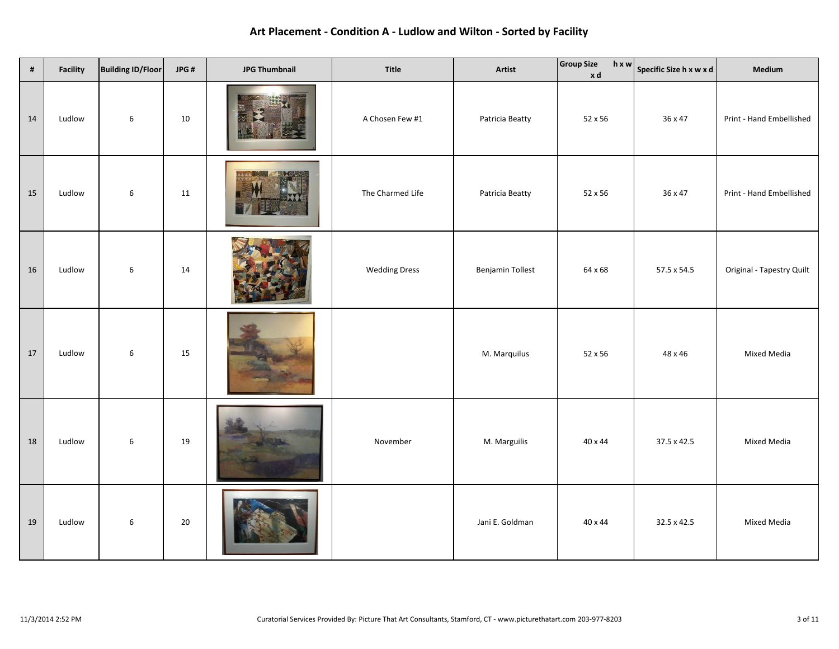| $\pmb{\sharp}$ | Facility | <b>Building ID/Floor</b> | JPG# | <b>JPG Thumbnail</b> | Title                | Artist                  | <b>Group Size</b><br>xd | $\begin{array}{ c c }\nh \times w & \text{Specific Size } h \times w \times d\n\end{array}$ | Medium                    |
|----------------|----------|--------------------------|------|----------------------|----------------------|-------------------------|-------------------------|---------------------------------------------------------------------------------------------|---------------------------|
| 14             | Ludlow   | 6                        | 10   |                      | A Chosen Few #1      | Patricia Beatty         | 52 x 56                 | 36 x 47                                                                                     | Print - Hand Embellished  |
| 15             | Ludlow   | $\boldsymbol{6}$         | 11   |                      | The Charmed Life     | Patricia Beatty         | 52 x 56                 | 36 x 47                                                                                     | Print - Hand Embellished  |
| 16             | Ludlow   | $\boldsymbol{6}$         | 14   |                      | <b>Wedding Dress</b> | <b>Benjamin Tollest</b> | 64 x 68                 | 57.5 x 54.5                                                                                 | Original - Tapestry Quilt |
| 17             | Ludlow   | $\boldsymbol{6}$         | 15   |                      |                      | M. Marquilus            | 52 x 56                 | 48 x 46                                                                                     | <b>Mixed Media</b>        |
| 18             | Ludlow   | $\,6\,$                  | 19   |                      | November             | M. Marguilis            | 40 x 44                 | 37.5 x 42.5                                                                                 | Mixed Media               |
| 19             | Ludlow   | $\sqrt{6}$               | 20   |                      |                      | Jani E. Goldman         | 40 x 44                 | 32.5 x 42.5                                                                                 | <b>Mixed Media</b>        |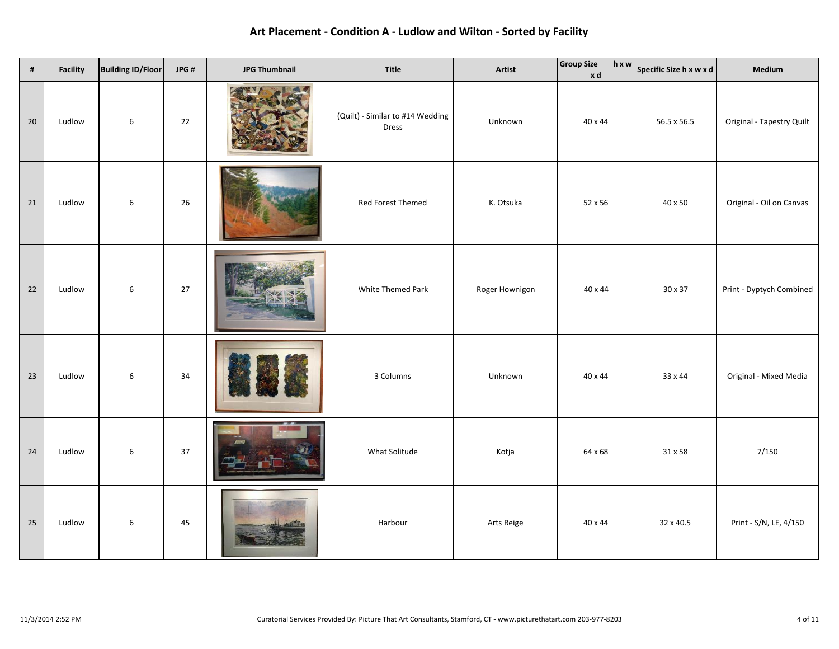| $\pmb{\sharp}$ | <b>Facility</b> | <b>Building ID/Floor</b> | JPG# | <b>JPG Thumbnail</b> | Title                                     | Artist         | <b>Group Size</b><br>$h \times w$<br>xd | Specific Size h x w x d | Medium                    |
|----------------|-----------------|--------------------------|------|----------------------|-------------------------------------------|----------------|-----------------------------------------|-------------------------|---------------------------|
| 20             | Ludlow          | 6                        | 22   |                      | (Quilt) - Similar to #14 Wedding<br>Dress | Unknown        | 40 x 44                                 | 56.5 x 56.5             | Original - Tapestry Quilt |
| 21             | Ludlow          | 6                        | 26   |                      | Red Forest Themed                         | K. Otsuka      | 52 x 56                                 | 40 x 50                 | Original - Oil on Canvas  |
| 22             | Ludlow          | 6                        | 27   |                      | White Themed Park                         | Roger Hownigon | 40 x 44                                 | 30 x 37                 | Print - Dyptych Combined  |
| 23             | Ludlow          | 6                        | 34   |                      | 3 Columns                                 | Unknown        | 40 x 44                                 | 33 x 44                 | Original - Mixed Media    |
| 24             | Ludlow          | 6                        | 37   |                      | What Solitude                             | Kotja          | 64 x 68                                 | 31 x 58                 | 7/150                     |
| 25             | Ludlow          | $\boldsymbol{6}$         | 45   |                      | Harbour                                   | Arts Reige     | 40 x 44                                 | 32 x 40.5               | Print - S/N, LE, 4/150    |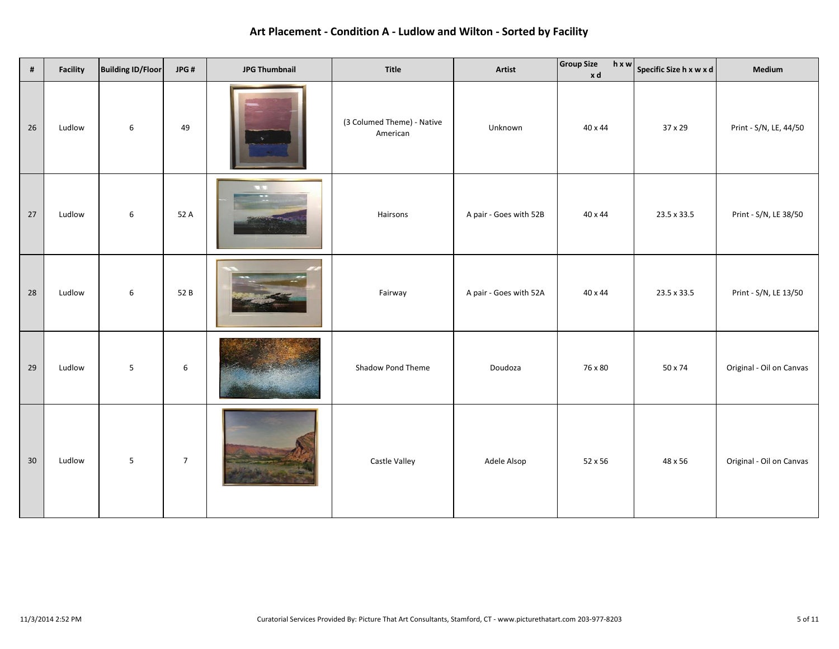| $\#$ | Facility | <b>Building ID/Floor</b> | JPG#           | <b>JPG Thumbnail</b> | Title                                  | Artist                 | <b>Group Size</b><br>xd | $\boxed{h \times w}$ Specific Size h x w x d | Medium                   |
|------|----------|--------------------------|----------------|----------------------|----------------------------------------|------------------------|-------------------------|----------------------------------------------|--------------------------|
| 26   | Ludlow   | 6                        | 49             |                      | (3 Columed Theme) - Native<br>American | Unknown                | 40 x 44                 | 37 x 29                                      | Print - S/N, LE, 44/50   |
| 27   | Ludlow   | 6                        | 52 A           | <b>A. W. 1</b>       | Hairsons                               | A pair - Goes with 52B | 40 x 44                 | 23.5 x 33.5                                  | Print - S/N, LE 38/50    |
| 28   | Ludlow   | 6                        | 52 B           |                      | Fairway                                | A pair - Goes with 52A | 40 x 44                 | 23.5 x 33.5                                  | Print - S/N, LE 13/50    |
| 29   | Ludlow   | $\overline{5}$           | $\,$ 6 $\,$    |                      | Shadow Pond Theme                      | Doudoza                | 76 x 80                 | 50 x 74                                      | Original - Oil on Canvas |
| 30   | Ludlow   | $\overline{5}$           | $\overline{7}$ |                      | Castle Valley                          | Adele Alsop            | 52 x 56                 | 48 x 56                                      | Original - Oil on Canvas |

**Art Placement - Condition A - Ludlow and Wilton - Sorted by Facility**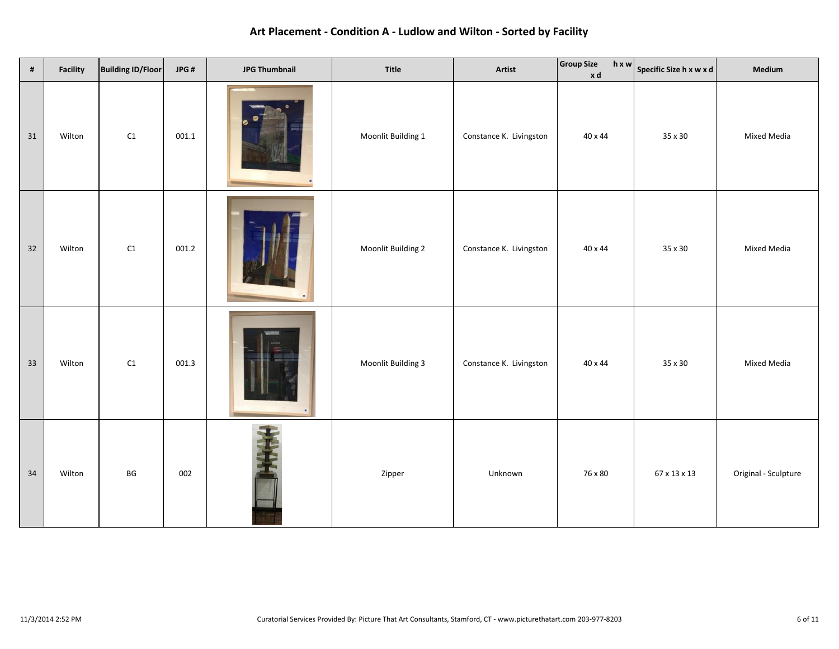| $\pmb{\sharp}$ | <b>Facility</b> | <b>Building ID/Floor</b> | JPG#  | <b>JPG Thumbnail</b> | Title              | Artist                  | Group Size<br>xd | $\boxed{h \times w}$ Specific Size h x w x d | Medium               |
|----------------|-----------------|--------------------------|-------|----------------------|--------------------|-------------------------|------------------|----------------------------------------------|----------------------|
| 31             | Wilton          | $\mathsf{C1}$            | 001.1 |                      | Moonlit Building 1 | Constance K. Livingston | 40 x 44          | 35 x 30                                      | Mixed Media          |
| 32             | Wilton          | $\mathsf{C1}$            | 001.2 |                      | Moonlit Building 2 | Constance K. Livingston | 40 x 44          | 35 x 30                                      | Mixed Media          |
| 33             | Wilton          | $\mathsf{C1}$            | 001.3 |                      | Moonlit Building 3 | Constance K. Livingston | 40 x 44          | 35 x 30                                      | Mixed Media          |
| 34             | Wilton          | BG                       | 002   |                      | Zipper             | Unknown                 | 76 x 80          | 67 x 13 x 13                                 | Original - Sculpture |

**Art Placement - Condition A - Ludlow and Wilton - Sorted by Facility**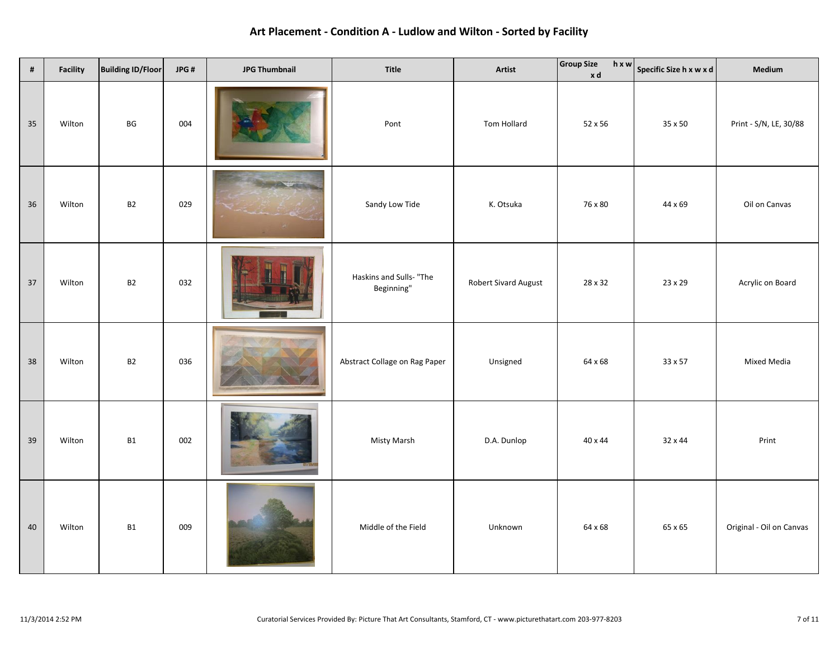| #  | <b>Facility</b> | <b>Building ID/Floor</b> | JPG# | <b>JPG Thumbnail</b> | Title                                 | Artist                      | <b>Group Size</b><br>xd | $\boxed{h \times w}$ Specific Size h x w x d | Medium                   |
|----|-----------------|--------------------------|------|----------------------|---------------------------------------|-----------------------------|-------------------------|----------------------------------------------|--------------------------|
| 35 | Wilton          | BG                       | 004  |                      | Pont                                  | Tom Hollard                 | 52 x 56                 | 35 x 50                                      | Print - S/N, LE, 30/88   |
| 36 | Wilton          | B <sub>2</sub>           | 029  |                      | Sandy Low Tide                        | K. Otsuka                   | 76 x 80                 | 44 x 69                                      | Oil on Canvas            |
| 37 | Wilton          | B2                       | 032  |                      | Haskins and Sulls- "The<br>Beginning" | <b>Robert Sivard August</b> | 28 x 32                 | 23 x 29                                      | Acrylic on Board         |
| 38 | Wilton          | B <sub>2</sub>           | 036  |                      | Abstract Collage on Rag Paper         | Unsigned                    | 64 x 68                 | 33 x 57                                      | Mixed Media              |
| 39 | Wilton          | <b>B1</b>                | 002  |                      | Misty Marsh                           | D.A. Dunlop                 | 40 x 44                 | 32 x 44                                      | Print                    |
| 40 | Wilton          | <b>B1</b>                | 009  |                      | Middle of the Field                   | Unknown                     | 64 x 68                 | 65 x 65                                      | Original - Oil on Canvas |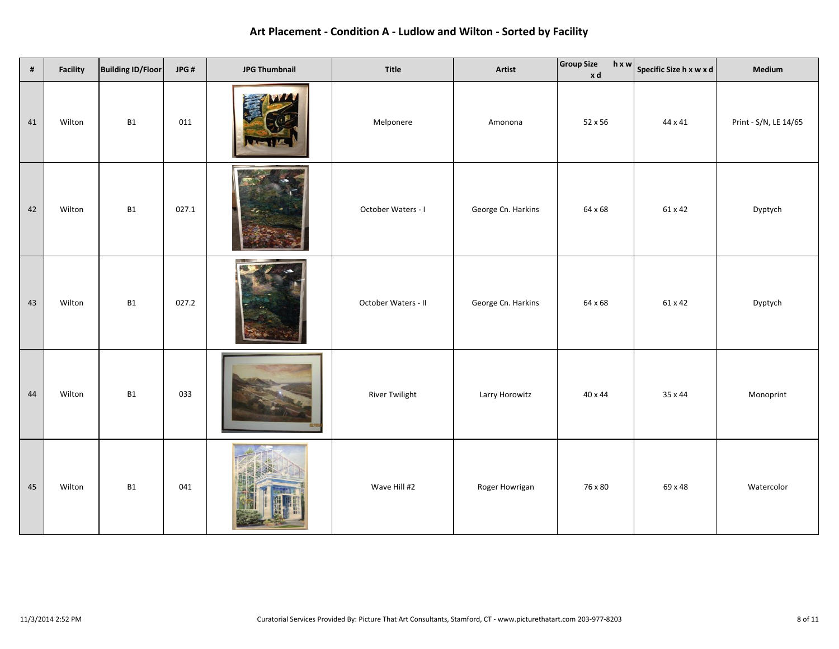| $\#$ | Facility | <b>Building ID/Floor</b> | JPG#  | <b>JPG Thumbnail</b> | Title                 | Artist             | <b>Group Size</b><br>hxw<br>xd | Specific Size h x w x d | Medium                |
|------|----------|--------------------------|-------|----------------------|-----------------------|--------------------|--------------------------------|-------------------------|-----------------------|
| 41   | Wilton   | <b>B1</b>                | 011   |                      | Melponere             | Amonona            | 52 x 56                        | 44 x 41                 | Print - S/N, LE 14/65 |
| 42   | Wilton   | <b>B1</b>                | 027.1 |                      | October Waters - I    | George Cn. Harkins | 64 x 68                        | 61 x 42                 | Dyptych               |
| 43   | Wilton   | <b>B1</b>                | 027.2 |                      | October Waters - II   | George Cn. Harkins | 64 x 68                        | 61 x 42                 | Dyptych               |
| 44   | Wilton   | <b>B1</b>                | 033   |                      | <b>River Twilight</b> | Larry Horowitz     | 40 x 44                        | 35 x 44                 | Monoprint             |
| 45   | Wilton   | <b>B1</b>                | 041   |                      | Wave Hill #2          | Roger Howrigan     | 76 x 80                        | 69 x 48                 | Watercolor            |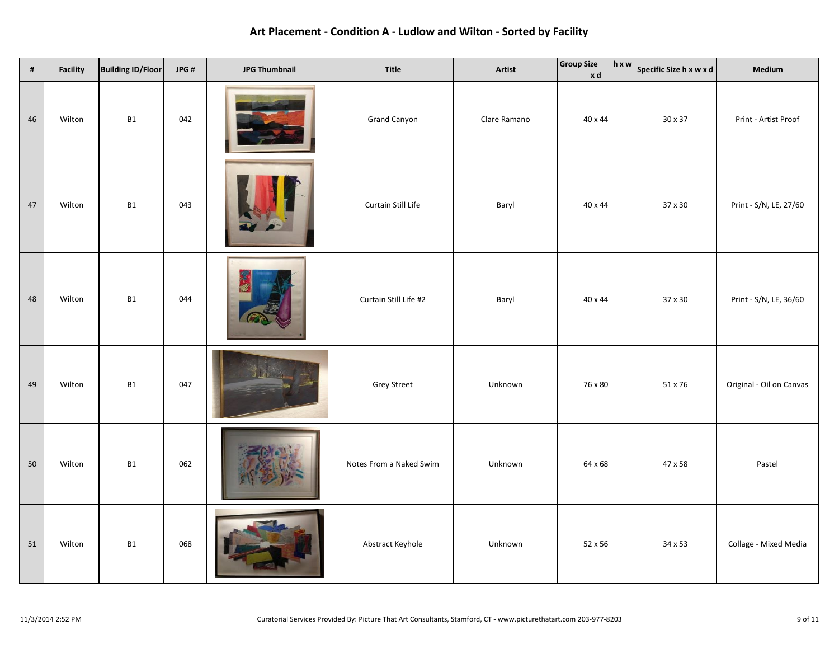| $\pmb{\sharp}$ | Facility | <b>Building ID/Floor</b> | JPG# | <b>JPG Thumbnail</b> | Title                   | Artist       | <b>Group Size</b><br>xd | $\boxed{h \times w}$ Specific Size h x w x d | Medium                   |
|----------------|----------|--------------------------|------|----------------------|-------------------------|--------------|-------------------------|----------------------------------------------|--------------------------|
| 46             | Wilton   | <b>B1</b>                | 042  |                      | <b>Grand Canyon</b>     | Clare Ramano | 40 x 44                 | 30 x 37                                      | Print - Artist Proof     |
| 47             | Wilton   | <b>B1</b>                | 043  |                      | Curtain Still Life      | Baryl        | 40 x 44                 | 37 x 30                                      | Print - S/N, LE, 27/60   |
| 48             | Wilton   | B1                       | 044  |                      | Curtain Still Life #2   | Baryl        | 40 x 44                 | 37 x 30                                      | Print - S/N, LE, 36/60   |
| 49             | Wilton   | B1                       | 047  |                      | <b>Grey Street</b>      | Unknown      | 76 x 80                 | 51 x 76                                      | Original - Oil on Canvas |
| 50             | Wilton   | <b>B1</b>                | 062  |                      | Notes From a Naked Swim | Unknown      | 64 x 68                 | 47 x 58                                      | Pastel                   |
| 51             | Wilton   | <b>B1</b>                | 068  |                      | Abstract Keyhole        | Unknown      | 52 x 56                 | 34 x 53                                      | Collage - Mixed Media    |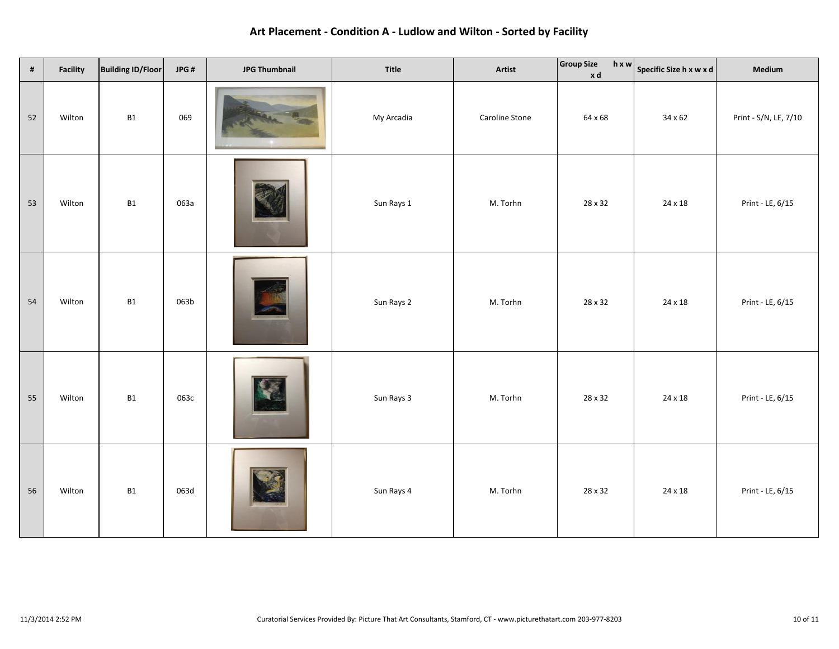| $\pmb{\sharp}$ | Facility | <b>Building ID/Floor</b> | JPG# | <b>JPG Thumbnail</b> | Title      | Artist         | <b>Group Size</b><br>xd | $\boxed{h \times w}$ Specific Size h x w x d | Medium                |
|----------------|----------|--------------------------|------|----------------------|------------|----------------|-------------------------|----------------------------------------------|-----------------------|
| 52             | Wilton   | <b>B1</b>                | 069  |                      | My Arcadia | Caroline Stone | 64 x 68                 | 34 x 62                                      | Print - S/N, LE, 7/10 |
| 53             | Wilton   | <b>B1</b>                | 063a |                      | Sun Rays 1 | M. Torhn       | 28 x 32                 | 24 x 18                                      | Print - LE, 6/15      |
| 54             | Wilton   | <b>B1</b>                | 063b |                      | Sun Rays 2 | M. Torhn       | 28 x 32                 | 24 x 18                                      | Print - LE, 6/15      |
| 55             | Wilton   | <b>B1</b>                | 063c |                      | Sun Rays 3 | M. Torhn       | 28 x 32                 | 24 x 18                                      | Print - LE, 6/15      |
| 56             | Wilton   | B1                       | 063d |                      | Sun Rays 4 | M. Torhn       | 28 x 32                 | 24 x 18                                      | Print - LE, 6/15      |